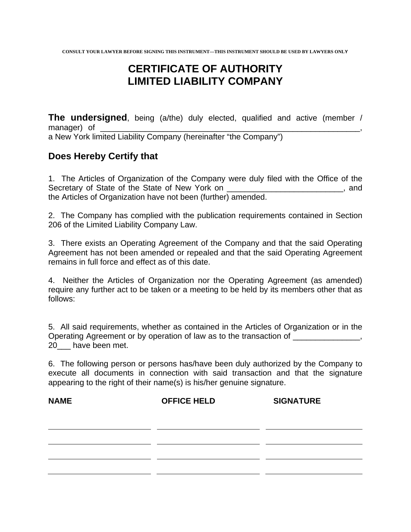## **CERTIFICATE OF AUTHORITY LIMITED LIABILITY COMPANY**

**The undersigned**, being (a/the) duly elected, qualified and active (member / manager) of

a New York limited Liability Company (hereinafter "the Company")

## **Does Hereby Certify that**

1. The Articles of Organization of the Company were duly filed with the Office of the Secretary of State of the State of New York on \_\_\_\_\_\_\_\_\_\_\_\_\_\_\_\_\_\_\_\_\_\_\_\_\_\_, and the Articles of Organization have not been (further) amended.

2. The Company has complied with the publication requirements contained in Section 206 of the Limited Liability Company Law.

3. There exists an Operating Agreement of the Company and that the said Operating Agreement has not been amended or repealed and that the said Operating Agreement remains in full force and effect as of this date.

4. Neither the Articles of Organization nor the Operating Agreement (as amended) require any further act to be taken or a meeting to be held by its members other that as follows:

5. All said requirements, whether as contained in the Articles of Organization or in the Operating Agreement or by operation of law as to the transaction of \_\_\_\_\_\_\_\_\_\_\_\_\_, 20 have been met.

6. The following person or persons has/have been duly authorized by the Company to execute all documents in connection with said transaction and that the signature appearing to the right of their name(s) is his/her genuine signature.

| <b>NAME</b> | <b>OFFICE HELD</b> | <b>SIGNATURE</b> |
|-------------|--------------------|------------------|
|             |                    |                  |
|             |                    |                  |